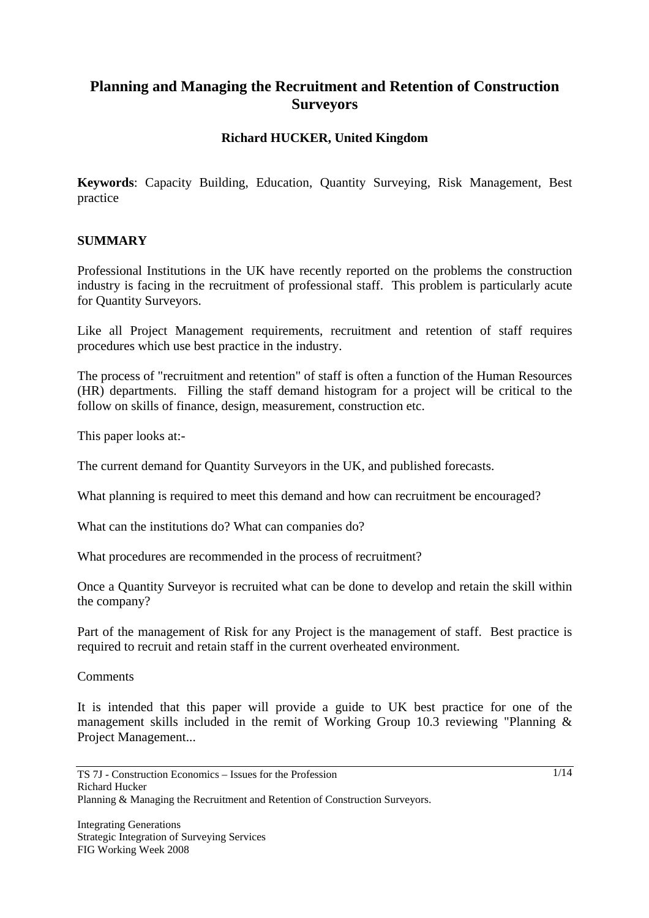# **Planning and Managing the Recruitment and Retention of Construction Surveyors**

## **Richard HUCKER, United Kingdom**

**Keywords**: Capacity Building, Education, Quantity Surveying, Risk Management, Best practice

#### **SUMMARY**

Professional Institutions in the UK have recently reported on the problems the construction industry is facing in the recruitment of professional staff. This problem is particularly acute for Quantity Surveyors.

Like all Project Management requirements, recruitment and retention of staff requires procedures which use best practice in the industry.

The process of "recruitment and retention" of staff is often a function of the Human Resources (HR) departments. Filling the staff demand histogram for a project will be critical to the follow on skills of finance, design, measurement, construction etc.

This paper looks at:-

The current demand for Quantity Surveyors in the UK, and published forecasts.

What planning is required to meet this demand and how can recruitment be encouraged?

What can the institutions do? What can companies do?

What procedures are recommended in the process of recruitment?

Once a Quantity Surveyor is recruited what can be done to develop and retain the skill within the company?

Part of the management of Risk for any Project is the management of staff. Best practice is required to recruit and retain staff in the current overheated environment.

**Comments** 

It is intended that this paper will provide a guide to UK best practice for one of the management skills included in the remit of Working Group 10.3 reviewing "Planning & Project Management...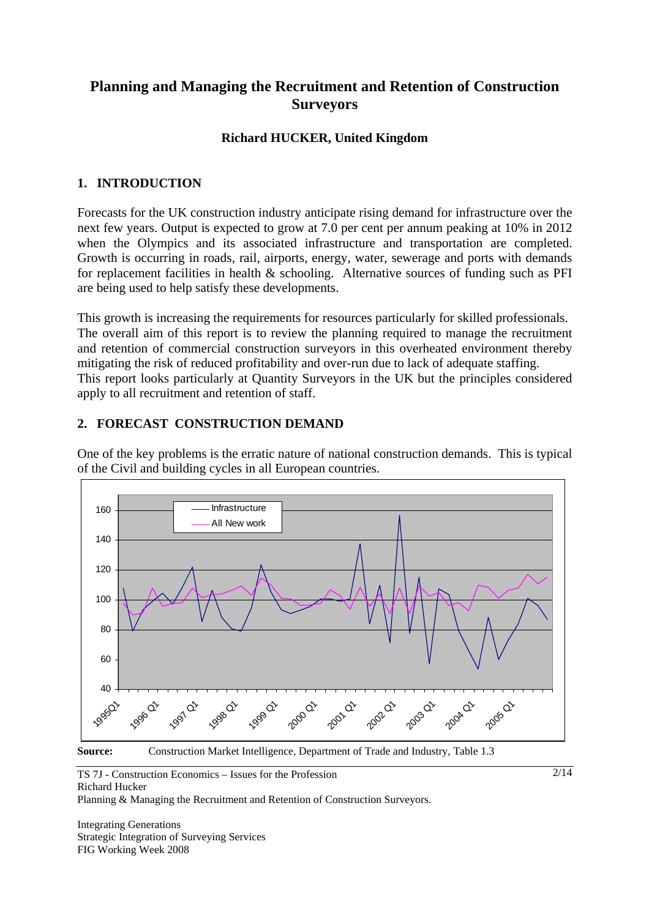# **Planning and Managing the Recruitment and Retention of Construction Surveyors**

## **Richard HUCKER, United Kingdom**

### **1. INTRODUCTION**

Forecasts for the UK construction industry anticipate rising demand for infrastructure over the next few years. Output is expected to grow at 7.0 per cent per annum peaking at 10% in 2012 when the Olympics and its associated infrastructure and transportation are completed. Growth is occurring in roads, rail, airports, energy, water, sewerage and ports with demands for replacement facilities in health & schooling. Alternative sources of funding such as PFI are being used to help satisfy these developments.

This growth is increasing the requirements for resources particularly for skilled professionals. The overall aim of this report is to review the planning required to manage the recruitment and retention of commercial construction surveyors in this overheated environment thereby mitigating the risk of reduced profitability and over-run due to lack of adequate staffing. This report looks particularly at Quantity Surveyors in the UK but the principles considered apply to all recruitment and retention of staff.

#### **2. FORECAST CONSTRUCTION DEMAND**

One of the key problems is the erratic nature of national construction demands. This is typical of the Civil and building cycles in all European countries.



**Source:** Construction Market Intelligence, Department of Trade and Industry, Table 1.3

TS 7J - Construction Economics – Issues for the Profession Richard Hucker

Planning & Managing the Recruitment and Retention of Construction Surveyors.

Integrating Generations Strategic Integration of Surveying Services FIG Working Week 2008

2/14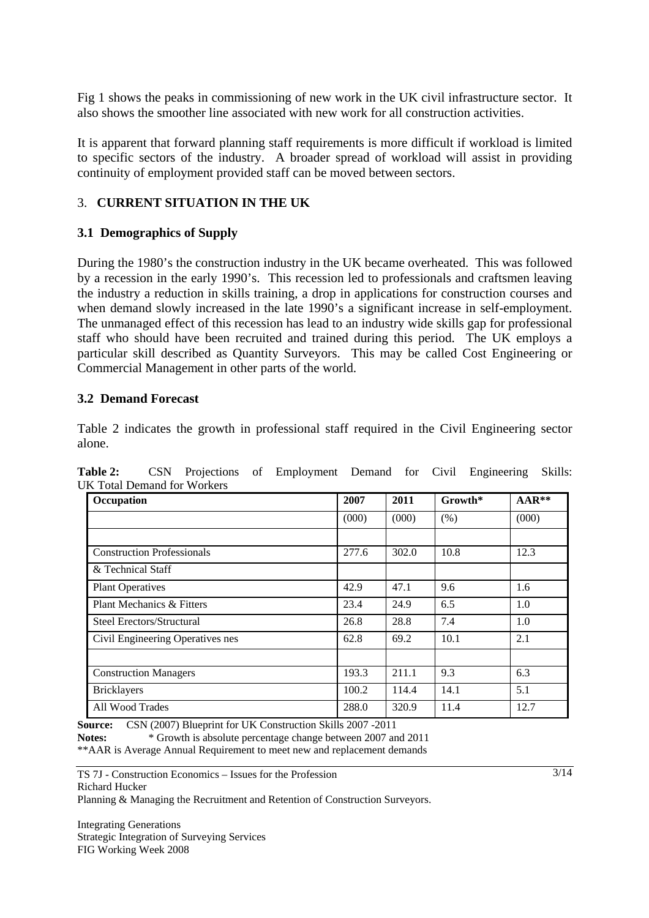Fig 1 shows the peaks in commissioning of new work in the UK civil infrastructure sector. It also shows the smoother line associated with new work for all construction activities.

It is apparent that forward planning staff requirements is more difficult if workload is limited to specific sectors of the industry. A broader spread of workload will assist in providing continuity of employment provided staff can be moved between sectors.

## 3. **CURRENT SITUATION IN THE UK**

#### **3.1 Demographics of Supply**

During the 1980's the construction industry in the UK became overheated. This was followed by a recession in the early 1990's. This recession led to professionals and craftsmen leaving the industry a reduction in skills training, a drop in applications for construction courses and when demand slowly increased in the late 1990's a significant increase in self-employment. The unmanaged effect of this recession has lead to an industry wide skills gap for professional staff who should have been recruited and trained during this period. The UK employs a particular skill described as Quantity Surveyors. This may be called Cost Engineering or Commercial Management in other parts of the world.

#### **3.2 Demand Forecast**

Table 2 indicates the growth in professional staff required in the Civil Engineering sector alone.

**Table 2:** CSN Projections of Employment Demand for Civil Engineering Skills: UK Total Demand for Workers

| Occupation                        | 2007  | 2011  | $Growth*$ | $AAR**$ |
|-----------------------------------|-------|-------|-----------|---------|
|                                   | (000) | (000) | (% )      | (000)   |
|                                   |       |       |           |         |
| <b>Construction Professionals</b> | 277.6 | 302.0 | 10.8      | 12.3    |
| & Technical Staff                 |       |       |           |         |
| <b>Plant Operatives</b>           | 42.9  | 47.1  | 9.6       | 1.6     |
| Plant Mechanics & Fitters         | 23.4  | 24.9  | 6.5       | 1.0     |
| Steel Erectors/Structural         | 26.8  | 28.8  | 7.4       | 1.0     |
| Civil Engineering Operatives nes  | 62.8  | 69.2  | 10.1      | 2.1     |
|                                   |       |       |           |         |
| <b>Construction Managers</b>      | 193.3 | 211.1 | 9.3       | 6.3     |
| <b>Bricklayers</b>                | 100.2 | 114.4 | 14.1      | 5.1     |
| All Wood Trades                   | 288.0 | 320.9 | 11.4      | 12.7    |

**Source:** CSN (2007) Blueprint for UK Construction Skills 2007 -2011

**Notes:** \* Growth is absolute percentage change between 2007 and 2011 \*\*AAR is Average Annual Requirement to meet new and replacement demands

TS 7J - Construction Economics – Issues for the Profession Richard Hucker

Planning & Managing the Recruitment and Retention of Construction Surveyors.

Integrating Generations Strategic Integration of Surveying Services FIG Working Week 2008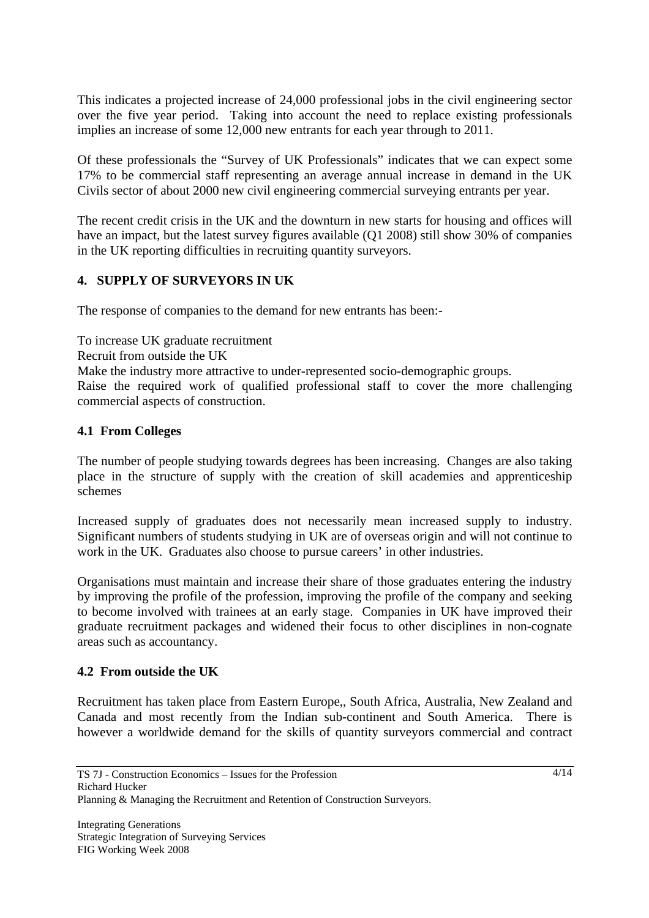This indicates a projected increase of 24,000 professional jobs in the civil engineering sector over the five year period. Taking into account the need to replace existing professionals implies an increase of some 12,000 new entrants for each year through to 2011.

Of these professionals the "Survey of UK Professionals" indicates that we can expect some 17% to be commercial staff representing an average annual increase in demand in the UK Civils sector of about 2000 new civil engineering commercial surveying entrants per year.

The recent credit crisis in the UK and the downturn in new starts for housing and offices will have an impact, but the latest survey figures available (Q1 2008) still show 30% of companies in the UK reporting difficulties in recruiting quantity surveyors.

## **4. SUPPLY OF SURVEYORS IN UK**

The response of companies to the demand for new entrants has been:-

To increase UK graduate recruitment

Recruit from outside the UK

Make the industry more attractive to under-represented socio-demographic groups.

Raise the required work of qualified professional staff to cover the more challenging commercial aspects of construction.

#### **4.1 From Colleges**

The number of people studying towards degrees has been increasing. Changes are also taking place in the structure of supply with the creation of skill academies and apprenticeship schemes

Increased supply of graduates does not necessarily mean increased supply to industry. Significant numbers of students studying in UK are of overseas origin and will not continue to work in the UK. Graduates also choose to pursue careers' in other industries.

Organisations must maintain and increase their share of those graduates entering the industry by improving the profile of the profession, improving the profile of the company and seeking to become involved with trainees at an early stage. Companies in UK have improved their graduate recruitment packages and widened their focus to other disciplines in non-cognate areas such as accountancy.

#### **4.2 From outside the UK**

Recruitment has taken place from Eastern Europe,, South Africa, Australia, New Zealand and Canada and most recently from the Indian sub-continent and South America. There is however a worldwide demand for the skills of quantity surveyors commercial and contract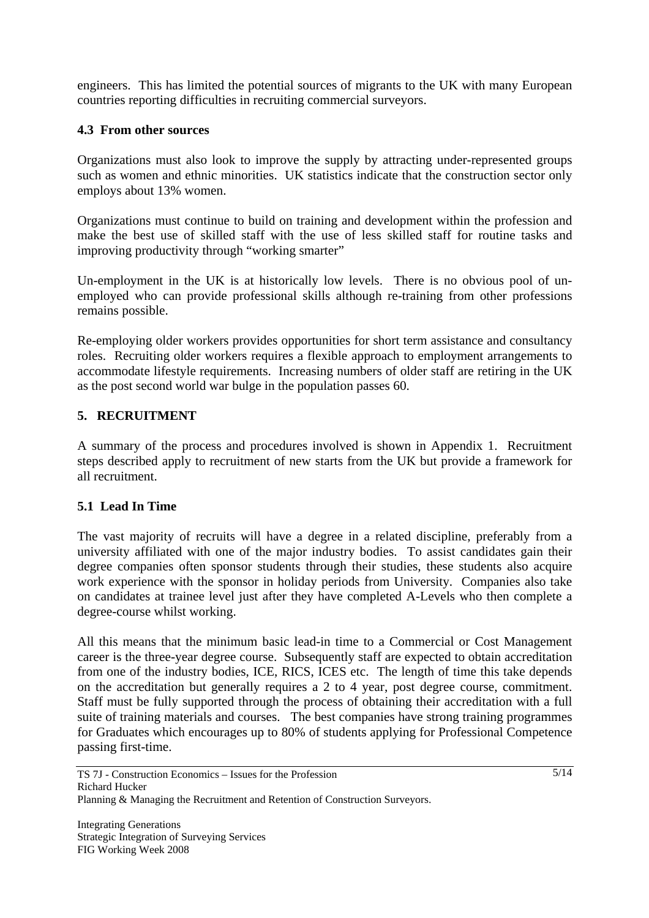engineers. This has limited the potential sources of migrants to the UK with many European countries reporting difficulties in recruiting commercial surveyors.

## **4.3 From other sources**

Organizations must also look to improve the supply by attracting under-represented groups such as women and ethnic minorities. UK statistics indicate that the construction sector only employs about 13% women.

Organizations must continue to build on training and development within the profession and make the best use of skilled staff with the use of less skilled staff for routine tasks and improving productivity through "working smarter"

Un-employment in the UK is at historically low levels. There is no obvious pool of unemployed who can provide professional skills although re-training from other professions remains possible.

Re-employing older workers provides opportunities for short term assistance and consultancy roles. Recruiting older workers requires a flexible approach to employment arrangements to accommodate lifestyle requirements. Increasing numbers of older staff are retiring in the UK as the post second world war bulge in the population passes 60.

## **5. RECRUITMENT**

A summary of the process and procedures involved is shown in Appendix 1. Recruitment steps described apply to recruitment of new starts from the UK but provide a framework for all recruitment.

#### **5.1 Lead In Time**

The vast majority of recruits will have a degree in a related discipline, preferably from a university affiliated with one of the major industry bodies. To assist candidates gain their degree companies often sponsor students through their studies, these students also acquire work experience with the sponsor in holiday periods from University. Companies also take on candidates at trainee level just after they have completed A-Levels who then complete a degree-course whilst working.

All this means that the minimum basic lead-in time to a Commercial or Cost Management career is the three-year degree course. Subsequently staff are expected to obtain accreditation from one of the industry bodies, ICE, RICS, ICES etc. The length of time this take depends on the accreditation but generally requires a 2 to 4 year, post degree course, commitment. Staff must be fully supported through the process of obtaining their accreditation with a full suite of training materials and courses. The best companies have strong training programmes for Graduates which encourages up to 80% of students applying for Professional Competence passing first-time.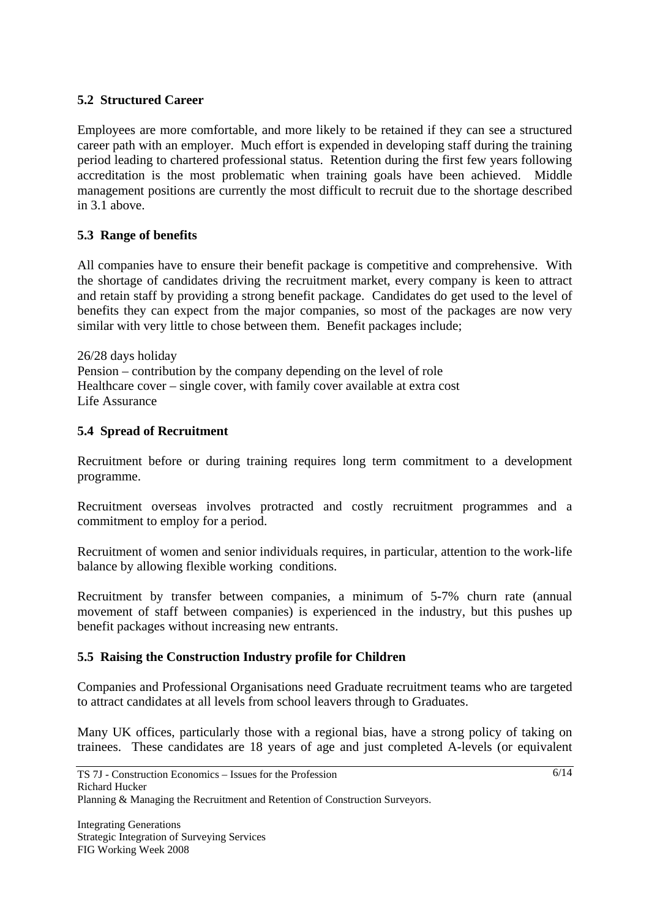### **5.2 Structured Career**

Employees are more comfortable, and more likely to be retained if they can see a structured career path with an employer. Much effort is expended in developing staff during the training period leading to chartered professional status. Retention during the first few years following accreditation is the most problematic when training goals have been achieved. Middle management positions are currently the most difficult to recruit due to the shortage described in 3.1 above.

## **5.3 Range of benefits**

All companies have to ensure their benefit package is competitive and comprehensive. With the shortage of candidates driving the recruitment market, every company is keen to attract and retain staff by providing a strong benefit package. Candidates do get used to the level of benefits they can expect from the major companies, so most of the packages are now very similar with very little to chose between them. Benefit packages include;

26/28 days holiday Pension – contribution by the company depending on the level of role Healthcare cover – single cover, with family cover available at extra cost Life Assurance

## **5.4 Spread of Recruitment**

Recruitment before or during training requires long term commitment to a development programme.

Recruitment overseas involves protracted and costly recruitment programmes and a commitment to employ for a period.

Recruitment of women and senior individuals requires, in particular, attention to the work-life balance by allowing flexible working conditions.

Recruitment by transfer between companies, a minimum of 5-7% churn rate (annual movement of staff between companies) is experienced in the industry, but this pushes up benefit packages without increasing new entrants.

#### **5.5 Raising the Construction Industry profile for Children**

Companies and Professional Organisations need Graduate recruitment teams who are targeted to attract candidates at all levels from school leavers through to Graduates.

Many UK offices, particularly those with a regional bias, have a strong policy of taking on trainees. These candidates are 18 years of age and just completed A-levels (or equivalent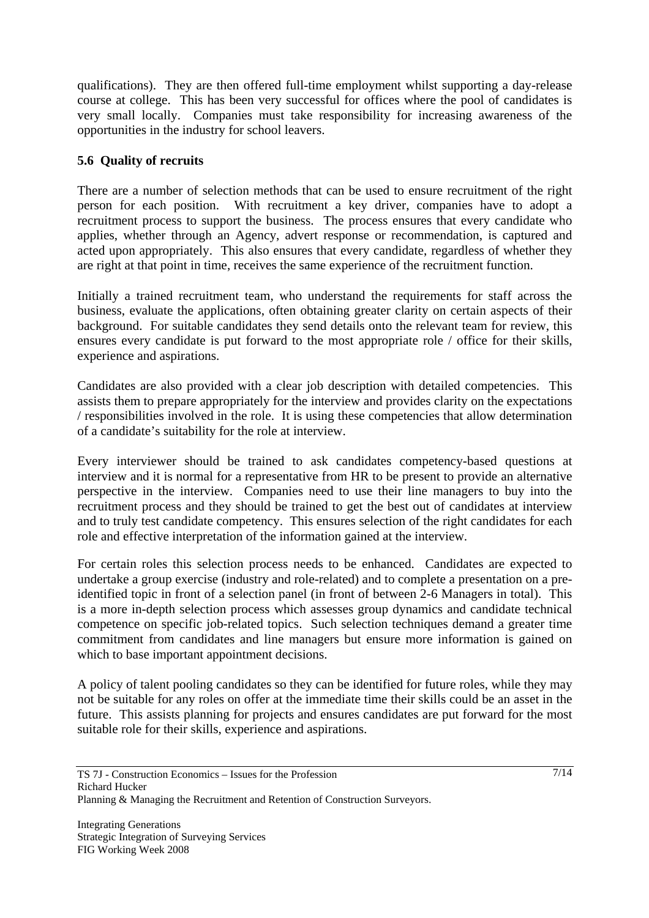qualifications). They are then offered full-time employment whilst supporting a day-release course at college. This has been very successful for offices where the pool of candidates is very small locally. Companies must take responsibility for increasing awareness of the opportunities in the industry for school leavers.

## **5.6 Quality of recruits**

There are a number of selection methods that can be used to ensure recruitment of the right person for each position. With recruitment a key driver, companies have to adopt a recruitment process to support the business. The process ensures that every candidate who applies, whether through an Agency, advert response or recommendation, is captured and acted upon appropriately. This also ensures that every candidate, regardless of whether they are right at that point in time, receives the same experience of the recruitment function.

Initially a trained recruitment team, who understand the requirements for staff across the business, evaluate the applications, often obtaining greater clarity on certain aspects of their background. For suitable candidates they send details onto the relevant team for review, this ensures every candidate is put forward to the most appropriate role / office for their skills, experience and aspirations.

Candidates are also provided with a clear job description with detailed competencies. This assists them to prepare appropriately for the interview and provides clarity on the expectations / responsibilities involved in the role. It is using these competencies that allow determination of a candidate's suitability for the role at interview.

Every interviewer should be trained to ask candidates competency-based questions at interview and it is normal for a representative from HR to be present to provide an alternative perspective in the interview. Companies need to use their line managers to buy into the recruitment process and they should be trained to get the best out of candidates at interview and to truly test candidate competency. This ensures selection of the right candidates for each role and effective interpretation of the information gained at the interview.

For certain roles this selection process needs to be enhanced. Candidates are expected to undertake a group exercise (industry and role-related) and to complete a presentation on a preidentified topic in front of a selection panel (in front of between 2-6 Managers in total). This is a more in-depth selection process which assesses group dynamics and candidate technical competence on specific job-related topics. Such selection techniques demand a greater time commitment from candidates and line managers but ensure more information is gained on which to base important appointment decisions.

A policy of talent pooling candidates so they can be identified for future roles, while they may not be suitable for any roles on offer at the immediate time their skills could be an asset in the future. This assists planning for projects and ensures candidates are put forward for the most suitable role for their skills, experience and aspirations.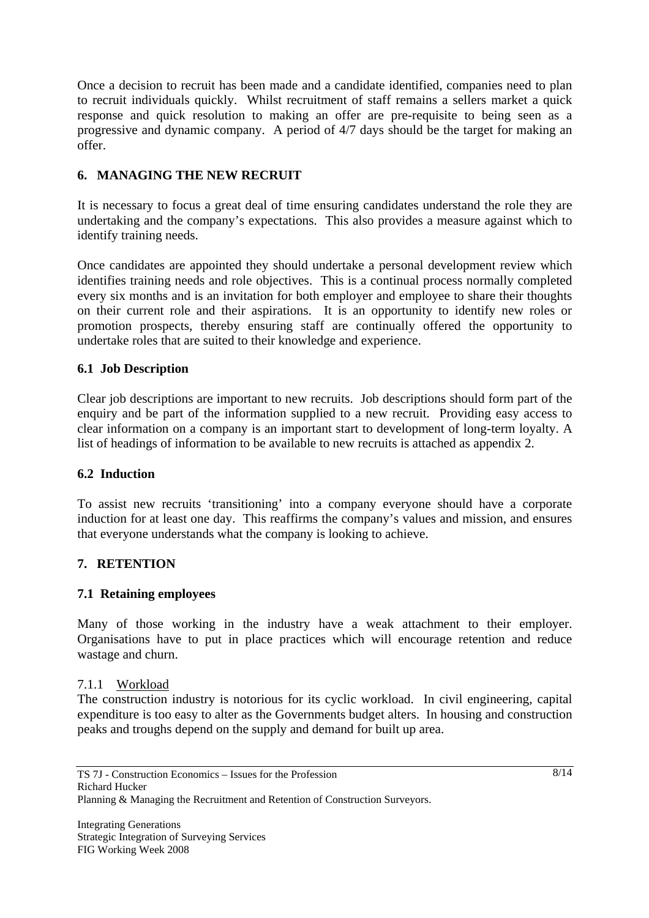Once a decision to recruit has been made and a candidate identified, companies need to plan to recruit individuals quickly. Whilst recruitment of staff remains a sellers market a quick response and quick resolution to making an offer are pre-requisite to being seen as a progressive and dynamic company. A period of 4/7 days should be the target for making an offer.

## **6. MANAGING THE NEW RECRUIT**

It is necessary to focus a great deal of time ensuring candidates understand the role they are undertaking and the company's expectations. This also provides a measure against which to identify training needs.

Once candidates are appointed they should undertake a personal development review which identifies training needs and role objectives. This is a continual process normally completed every six months and is an invitation for both employer and employee to share their thoughts on their current role and their aspirations. It is an opportunity to identify new roles or promotion prospects, thereby ensuring staff are continually offered the opportunity to undertake roles that are suited to their knowledge and experience.

## **6.1 Job Description**

Clear job descriptions are important to new recruits. Job descriptions should form part of the enquiry and be part of the information supplied to a new recruit. Providing easy access to clear information on a company is an important start to development of long-term loyalty. A list of headings of information to be available to new recruits is attached as appendix 2.

#### **6.2 Induction**

To assist new recruits 'transitioning' into a company everyone should have a corporate induction for at least one day. This reaffirms the company's values and mission, and ensures that everyone understands what the company is looking to achieve.

#### **7. RETENTION**

#### **7.1 Retaining employees**

Many of those working in the industry have a weak attachment to their employer. Organisations have to put in place practices which will encourage retention and reduce wastage and churn.

#### 7.1.1 Workload

The construction industry is notorious for its cyclic workload. In civil engineering, capital expenditure is too easy to alter as the Governments budget alters. In housing and construction peaks and troughs depend on the supply and demand for built up area.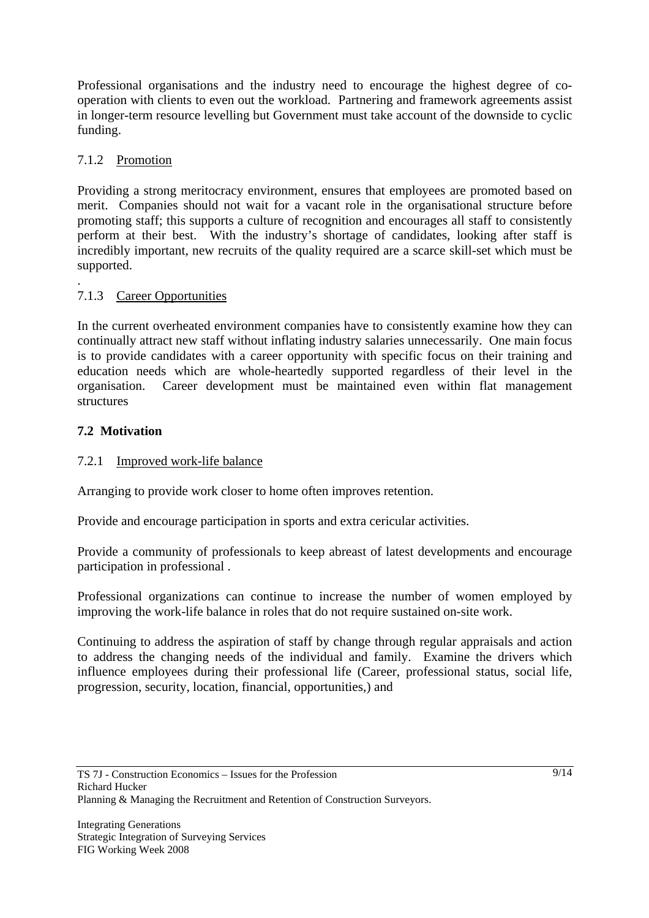Professional organisations and the industry need to encourage the highest degree of cooperation with clients to even out the workload. Partnering and framework agreements assist in longer-term resource levelling but Government must take account of the downside to cyclic funding.

## 7.1.2 Promotion

Providing a strong meritocracy environment, ensures that employees are promoted based on merit. Companies should not wait for a vacant role in the organisational structure before promoting staff; this supports a culture of recognition and encourages all staff to consistently perform at their best. With the industry's shortage of candidates, looking after staff is incredibly important, new recruits of the quality required are a scarce skill-set which must be supported.

#### . 7.1.3 Career Opportunities

In the current overheated environment companies have to consistently examine how they can continually attract new staff without inflating industry salaries unnecessarily. One main focus is to provide candidates with a career opportunity with specific focus on their training and education needs which are whole-heartedly supported regardless of their level in the organisation. Career development must be maintained even within flat management structures

## **7.2 Motivation**

## 7.2.1 Improved work-life balance

Arranging to provide work closer to home often improves retention.

Provide and encourage participation in sports and extra cericular activities.

Provide a community of professionals to keep abreast of latest developments and encourage participation in professional .

Professional organizations can continue to increase the number of women employed by improving the work-life balance in roles that do not require sustained on-site work.

Continuing to address the aspiration of staff by change through regular appraisals and action to address the changing needs of the individual and family. Examine the drivers which influence employees during their professional life (Career, professional status, social life, progression, security, location, financial, opportunities,) and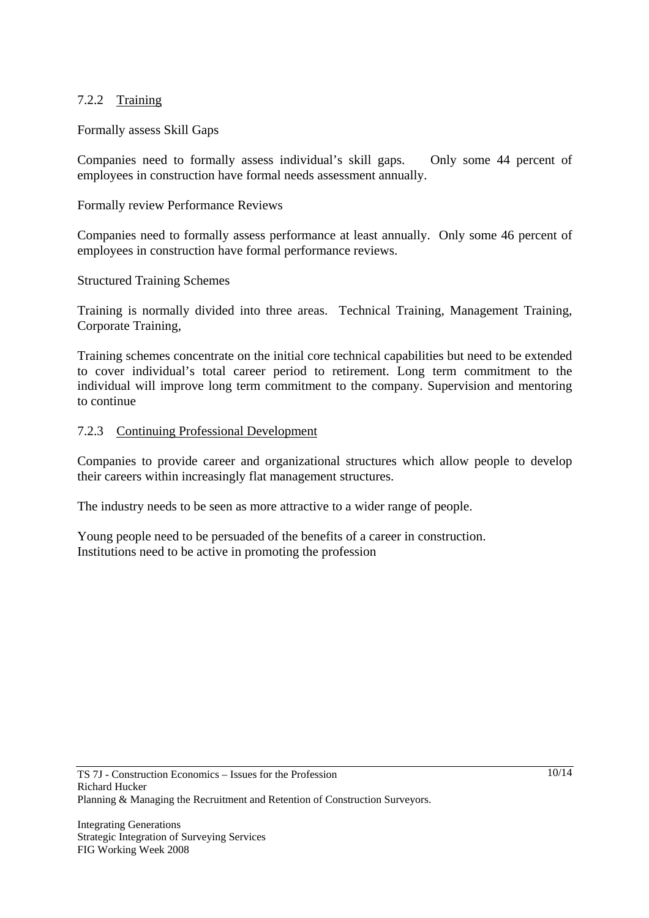#### 7.2.2 Training

#### Formally assess Skill Gaps

Companies need to formally assess individual's skill gaps. Only some 44 percent of employees in construction have formal needs assessment annually.

#### Formally review Performance Reviews

Companies need to formally assess performance at least annually. Only some 46 percent of employees in construction have formal performance reviews.

#### Structured Training Schemes

Training is normally divided into three areas. Technical Training, Management Training, Corporate Training,

Training schemes concentrate on the initial core technical capabilities but need to be extended to cover individual's total career period to retirement. Long term commitment to the individual will improve long term commitment to the company. Supervision and mentoring to continue

#### 7.2.3 Continuing Professional Development

Companies to provide career and organizational structures which allow people to develop their careers within increasingly flat management structures.

The industry needs to be seen as more attractive to a wider range of people.

Young people need to be persuaded of the benefits of a career in construction. Institutions need to be active in promoting the profession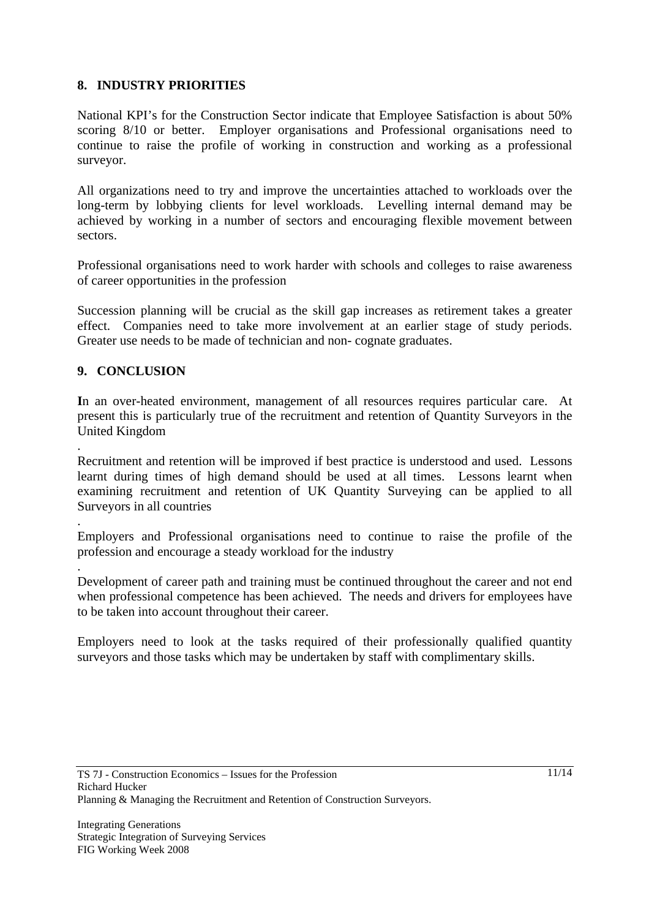## **8. INDUSTRY PRIORITIES**

National KPI's for the Construction Sector indicate that Employee Satisfaction is about 50% scoring 8/10 or better. Employer organisations and Professional organisations need to continue to raise the profile of working in construction and working as a professional surveyor.

All organizations need to try and improve the uncertainties attached to workloads over the long-term by lobbying clients for level workloads. Levelling internal demand may be achieved by working in a number of sectors and encouraging flexible movement between sectors.

Professional organisations need to work harder with schools and colleges to raise awareness of career opportunities in the profession

Succession planning will be crucial as the skill gap increases as retirement takes a greater effect. Companies need to take more involvement at an earlier stage of study periods. Greater use needs to be made of technician and non- cognate graduates.

#### **9. CONCLUSION**

.

.

**I**n an over-heated environment, management of all resources requires particular care. At present this is particularly true of the recruitment and retention of Quantity Surveyors in the United Kingdom

Recruitment and retention will be improved if best practice is understood and used. Lessons learnt during times of high demand should be used at all times. Lessons learnt when examining recruitment and retention of UK Quantity Surveying can be applied to all Surveyors in all countries

. Employers and Professional organisations need to continue to raise the profile of the profession and encourage a steady workload for the industry

Development of career path and training must be continued throughout the career and not end when professional competence has been achieved. The needs and drivers for employees have to be taken into account throughout their career.

Employers need to look at the tasks required of their professionally qualified quantity surveyors and those tasks which may be undertaken by staff with complimentary skills.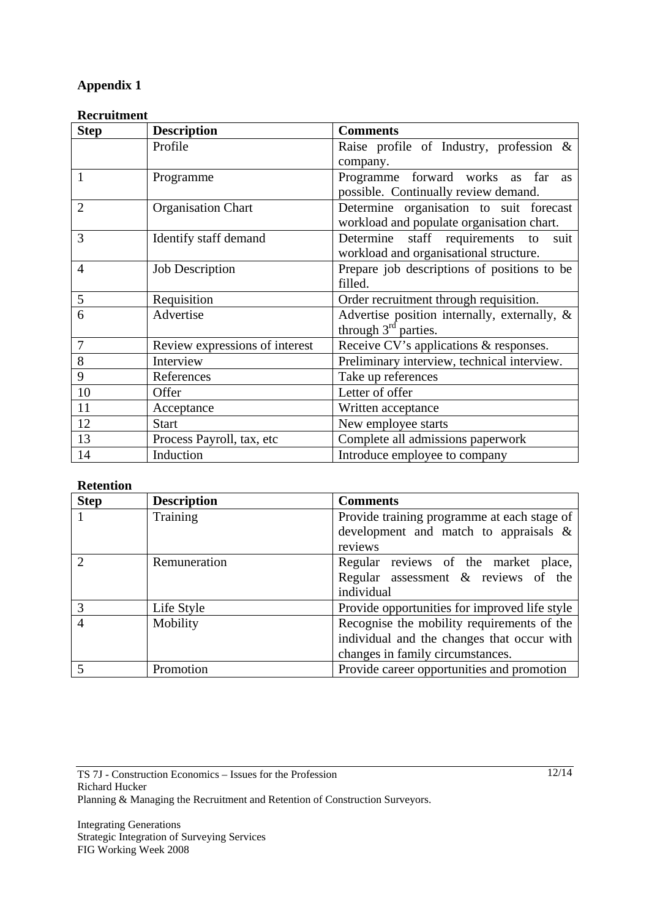## **Appendix 1**

#### **Recruitment**

| <b>Step</b>    | <b>Description</b>             | <b>Comments</b>                              |  |
|----------------|--------------------------------|----------------------------------------------|--|
|                | Profile                        | Raise profile of Industry, profession &      |  |
|                |                                | company.                                     |  |
| $\mathbf{1}$   | Programme                      | Programme forward works as far<br><b>as</b>  |  |
|                |                                | possible. Continually review demand.         |  |
| $\overline{2}$ | <b>Organisation Chart</b>      | Determine organisation to suit forecast      |  |
|                |                                | workload and populate organisation chart.    |  |
| 3              | Identify staff demand          | Determine staff requirements to<br>suit      |  |
|                |                                | workload and organisational structure.       |  |
| $\overline{4}$ | <b>Job Description</b>         | Prepare job descriptions of positions to be  |  |
|                |                                | filled.                                      |  |
| 5              | Requisition                    | Order recruitment through requisition.       |  |
| 6              | Advertise                      | Advertise position internally, externally, & |  |
|                |                                | through $3rd$ parties.                       |  |
| 7              | Review expressions of interest | Receive CV's applications & responses.       |  |
| 8              | Interview                      | Preliminary interview, technical interview.  |  |
| 9              | References                     | Take up references                           |  |
| 10             | Offer                          | Letter of offer                              |  |
| 11             | Acceptance                     | Written acceptance                           |  |
| 12             | <b>Start</b>                   | New employee starts                          |  |
| 13             | Process Payroll, tax, etc      | Complete all admissions paperwork            |  |
| 14             | Induction                      | Introduce employee to company                |  |

#### **Retention**

| <b>Step</b>    | <b>Description</b> | <b>Comments</b>                               |
|----------------|--------------------|-----------------------------------------------|
|                | Training           | Provide training programme at each stage of   |
|                |                    | development and match to appraisals $\&$      |
|                |                    | reviews                                       |
| $\mathcal{D}$  | Remuneration       | Regular reviews of the market place,          |
|                |                    | Regular assessment $\&$ reviews of the        |
|                |                    | individual                                    |
| 3              | Life Style         | Provide opportunities for improved life style |
| $\overline{4}$ | Mobility           | Recognise the mobility requirements of the    |
|                |                    | individual and the changes that occur with    |
|                |                    | changes in family circumstances.              |
|                | Promotion          | Provide career opportunities and promotion    |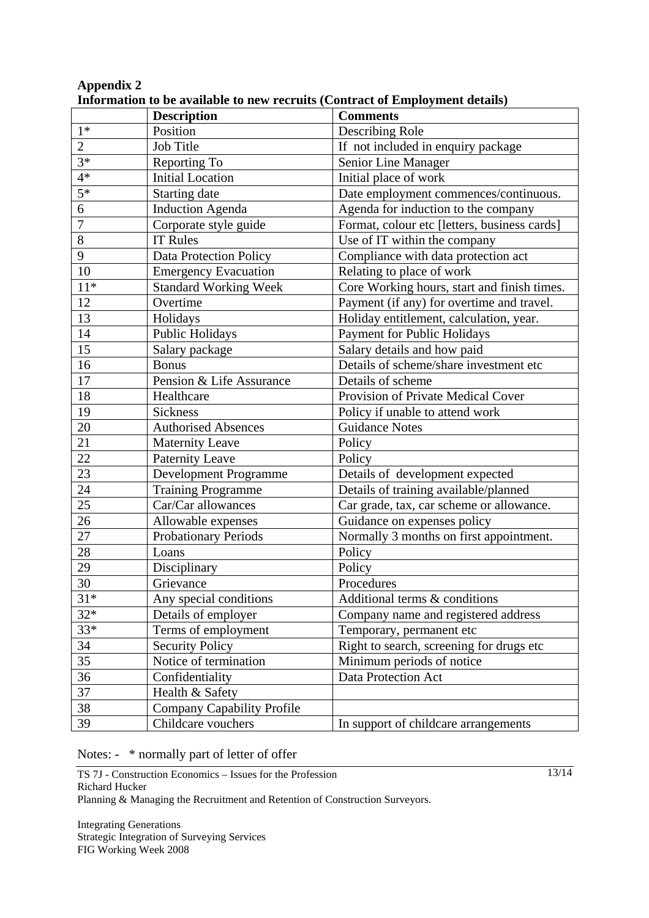|                  | miormanon to be avanable to hew recruits (Contract or Employment uctans)<br><b>Description</b> | <b>Comments</b>                              |  |
|------------------|------------------------------------------------------------------------------------------------|----------------------------------------------|--|
| $1*$             | Position                                                                                       | Describing Role                              |  |
| $\overline{2}$   | Job Title                                                                                      | If not included in enquiry package           |  |
| $3*$             | Reporting To                                                                                   | Senior Line Manager                          |  |
| $4*$             | <b>Initial Location</b>                                                                        | Initial place of work                        |  |
| $\overline{5*}$  | Starting date                                                                                  | Date employment commences/continuous.        |  |
| $\boldsymbol{6}$ | <b>Induction Agenda</b>                                                                        | Agenda for induction to the company          |  |
| $\overline{7}$   | Corporate style guide                                                                          | Format, colour etc [letters, business cards] |  |
| 8                | <b>IT Rules</b>                                                                                | Use of IT within the company                 |  |
| 9                | Data Protection Policy                                                                         | Compliance with data protection act          |  |
| 10               | <b>Emergency Evacuation</b>                                                                    | Relating to place of work                    |  |
| $11*$            | <b>Standard Working Week</b>                                                                   | Core Working hours, start and finish times.  |  |
| 12               | Overtime                                                                                       | Payment (if any) for overtime and travel.    |  |
| 13               | Holidays                                                                                       | Holiday entitlement, calculation, year.      |  |
| 14               | Public Holidays                                                                                | Payment for Public Holidays                  |  |
| 15               | Salary package                                                                                 | Salary details and how paid                  |  |
| 16               | <b>Bonus</b>                                                                                   | Details of scheme/share investment etc       |  |
| 17               | Pension & Life Assurance                                                                       | Details of scheme                            |  |
| 18               | Healthcare                                                                                     | Provision of Private Medical Cover           |  |
| 19               | Sickness                                                                                       | Policy if unable to attend work              |  |
| 20               | <b>Authorised Absences</b>                                                                     | <b>Guidance Notes</b>                        |  |
| 21               | <b>Maternity Leave</b>                                                                         | Policy                                       |  |
| 22               | Paternity Leave                                                                                | Policy                                       |  |
| 23               | Development Programme                                                                          | Details of development expected              |  |
| 24               | <b>Training Programme</b>                                                                      | Details of training available/planned        |  |
| 25               | Car/Car allowances                                                                             | Car grade, tax, car scheme or allowance.     |  |
| 26               | Allowable expenses                                                                             | Guidance on expenses policy                  |  |
| 27               | Probationary Periods                                                                           | Normally 3 months on first appointment.      |  |
| 28               | Loans                                                                                          | Policy                                       |  |
| 29               | Disciplinary                                                                                   | Policy                                       |  |
| 30               | Grievance                                                                                      | Procedures                                   |  |
| $31*$            | Any special conditions                                                                         | Additional terms & conditions                |  |
| $32*$            | Details of employer                                                                            | Company name and registered address          |  |
| $33*$            | Terms of employment                                                                            | Temporary, permanent etc                     |  |
| 34               | <b>Security Policy</b>                                                                         | Right to search, screening for drugs etc     |  |
| 35               | Notice of termination                                                                          | Minimum periods of notice                    |  |
| 36               | Confidentiality                                                                                | Data Protection Act                          |  |
| 37               | Health & Safety                                                                                |                                              |  |
| 38               | <b>Company Capability Profile</b>                                                              |                                              |  |
| 39               | Childcare vouchers                                                                             | In support of childcare arrangements         |  |

## **Appendix 2 Information to be available to new recruits (Contract of Employment details)**

Notes: - \* normally part of letter of offer

TS 7J - Construction Economics – Issues for the Profession Richard Hucker

Planning & Managing the Recruitment and Retention of Construction Surveyors.

Integrating Generations Strategic Integration of Surveying Services FIG Working Week 2008

13/14